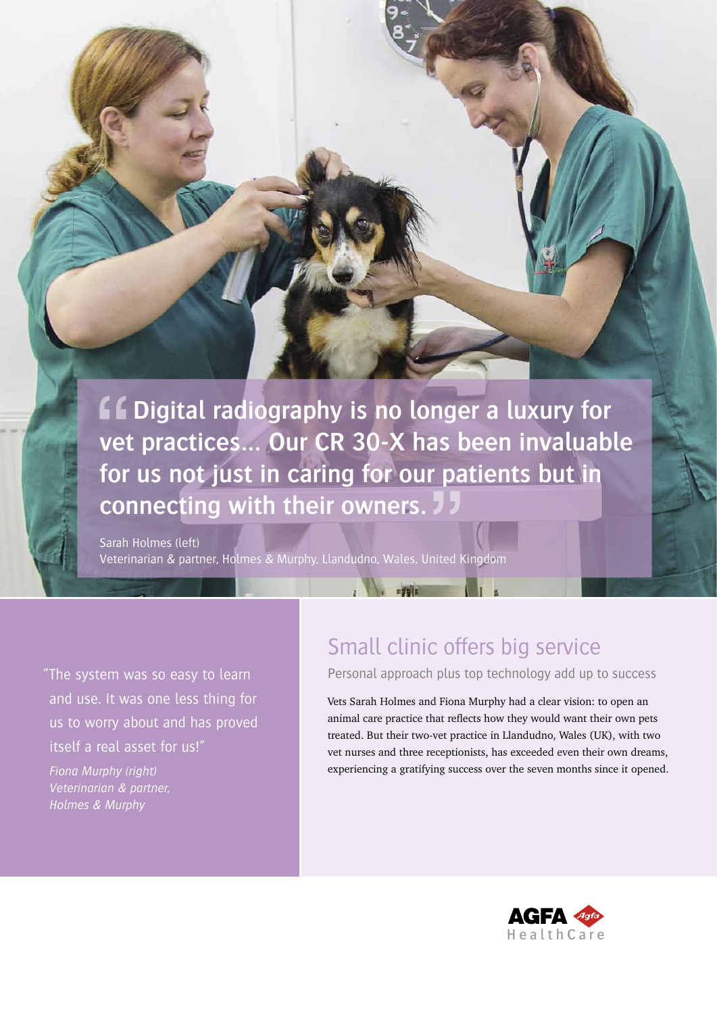**ff Digital radiography is no longer a luxury for vet practices… Our CR 30-X has been invaluable for us not just in caring for our patients but in connecting with their owners.** 

a barat a sa shekarar 200

Sarah Holmes (left) Veterinarian & partner, Holmes & Murphy, Llandudno, Wales, United Kingdom

"The system was so easy to learn and use. It was one less thing for us to worry about and has proved itself a real asset for us!"

CUSTOMER CASE

*Fiona Murphy (right) Veterinarian & partner, Holmes & Murphy*

# Small clinic offers big service

Personal approach plus top technology add up to success

Vets Sarah Holmes and Fiona Murphy had a clear vision: to open an animal care practice that reflects how they would want their own pets treated. But their two-vet practice in Llandudno, Wales (UK), with two vet nurses and three receptionists, has exceeded even their own dreams, experiencing a gratifying success over the seven months since it opened.